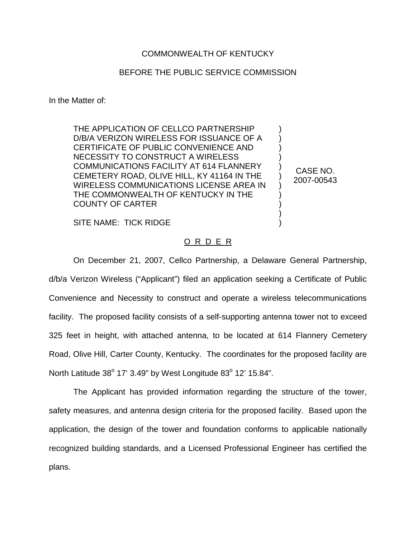## COMMONWEALTH OF KENTUCKY

## BEFORE THE PUBLIC SERVICE COMMISSION

In the Matter of:

THE APPLICATION OF CELLCO PARTNERSHIP D/B/A VERIZON WIRELESS FOR ISSUANCE OF A CERTIFICATE OF PUBLIC CONVENIENCE AND NECESSITY TO CONSTRUCT A WIRELESS COMMUNICATIONS FACILITY AT 614 FLANNERY CEMETERY ROAD, OLIVE HILL, KY 41164 IN THE WIRELESS COMMUNICATIONS LICENSE AREA IN THE COMMONWEALTH OF KENTUCKY IN THE COUNTY OF CARTER

CASE NO. 2007-00543

) ) ) ) ) ) ) ) ) ) )

SITE NAME: TICK RIDGE

## O R D E R

On December 21, 2007, Cellco Partnership, a Delaware General Partnership, d/b/a Verizon Wireless ("Applicant") filed an application seeking a Certificate of Public Convenience and Necessity to construct and operate a wireless telecommunications facility. The proposed facility consists of a self-supporting antenna tower not to exceed 325 feet in height, with attached antenna, to be located at 614 Flannery Cemetery Road, Olive Hill, Carter County, Kentucky. The coordinates for the proposed facility are North Latitude  $38^{\circ}$  17' 3.49" by West Longitude  $83^{\circ}$  12' 15.84".

The Applicant has provided information regarding the structure of the tower, safety measures, and antenna design criteria for the proposed facility. Based upon the application, the design of the tower and foundation conforms to applicable nationally recognized building standards, and a Licensed Professional Engineer has certified the plans.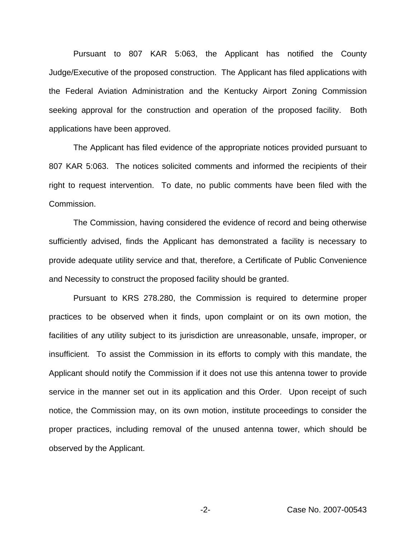Pursuant to 807 KAR 5:063, the Applicant has notified the County Judge/Executive of the proposed construction. The Applicant has filed applications with the Federal Aviation Administration and the Kentucky Airport Zoning Commission seeking approval for the construction and operation of the proposed facility. Both applications have been approved.

The Applicant has filed evidence of the appropriate notices provided pursuant to 807 KAR 5:063. The notices solicited comments and informed the recipients of their right to request intervention. To date, no public comments have been filed with the Commission.

The Commission, having considered the evidence of record and being otherwise sufficiently advised, finds the Applicant has demonstrated a facility is necessary to provide adequate utility service and that, therefore, a Certificate of Public Convenience and Necessity to construct the proposed facility should be granted.

Pursuant to KRS 278.280, the Commission is required to determine proper practices to be observed when it finds, upon complaint or on its own motion, the facilities of any utility subject to its jurisdiction are unreasonable, unsafe, improper, or insufficient. To assist the Commission in its efforts to comply with this mandate, the Applicant should notify the Commission if it does not use this antenna tower to provide service in the manner set out in its application and this Order. Upon receipt of such notice, the Commission may, on its own motion, institute proceedings to consider the proper practices, including removal of the unused antenna tower, which should be observed by the Applicant.